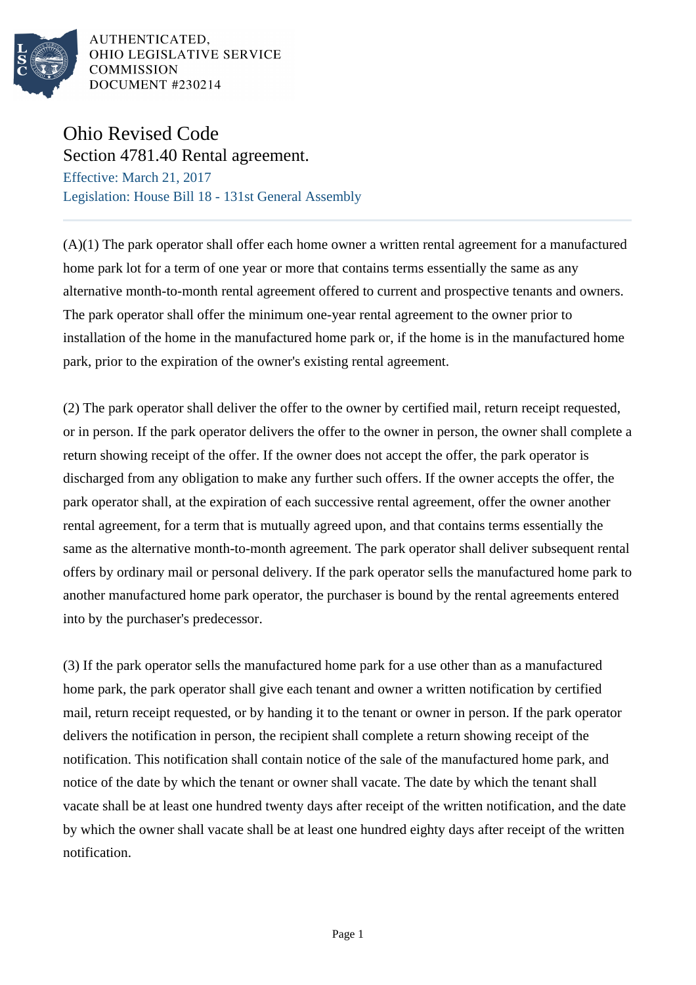

## Ohio Revised Code

Section 4781.40 Rental agreement. Effective: March 21, 2017 Legislation: House Bill 18 - 131st General Assembly

(A)(1) The park operator shall offer each home owner a written rental agreement for a manufactured home park lot for a term of one year or more that contains terms essentially the same as any alternative month-to-month rental agreement offered to current and prospective tenants and owners. The park operator shall offer the minimum one-year rental agreement to the owner prior to installation of the home in the manufactured home park or, if the home is in the manufactured home park, prior to the expiration of the owner's existing rental agreement.

(2) The park operator shall deliver the offer to the owner by certified mail, return receipt requested, or in person. If the park operator delivers the offer to the owner in person, the owner shall complete a return showing receipt of the offer. If the owner does not accept the offer, the park operator is discharged from any obligation to make any further such offers. If the owner accepts the offer, the park operator shall, at the expiration of each successive rental agreement, offer the owner another rental agreement, for a term that is mutually agreed upon, and that contains terms essentially the same as the alternative month-to-month agreement. The park operator shall deliver subsequent rental offers by ordinary mail or personal delivery. If the park operator sells the manufactured home park to another manufactured home park operator, the purchaser is bound by the rental agreements entered into by the purchaser's predecessor.

(3) If the park operator sells the manufactured home park for a use other than as a manufactured home park, the park operator shall give each tenant and owner a written notification by certified mail, return receipt requested, or by handing it to the tenant or owner in person. If the park operator delivers the notification in person, the recipient shall complete a return showing receipt of the notification. This notification shall contain notice of the sale of the manufactured home park, and notice of the date by which the tenant or owner shall vacate. The date by which the tenant shall vacate shall be at least one hundred twenty days after receipt of the written notification, and the date by which the owner shall vacate shall be at least one hundred eighty days after receipt of the written notification.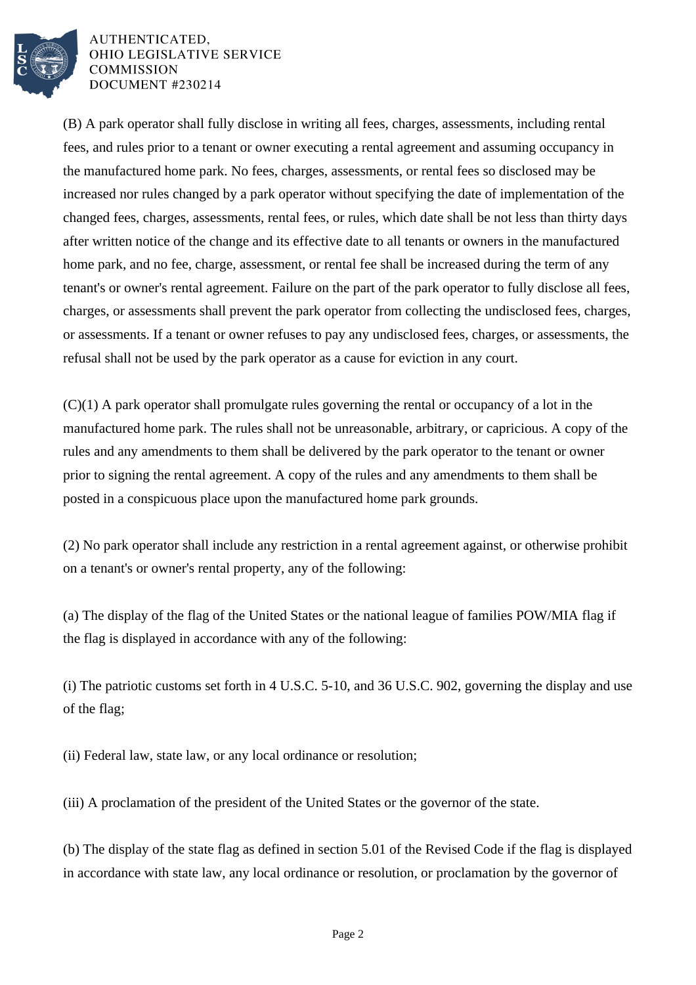

(B) A park operator shall fully disclose in writing all fees, charges, assessments, including rental fees, and rules prior to a tenant or owner executing a rental agreement and assuming occupancy in the manufactured home park. No fees, charges, assessments, or rental fees so disclosed may be increased nor rules changed by a park operator without specifying the date of implementation of the changed fees, charges, assessments, rental fees, or rules, which date shall be not less than thirty days after written notice of the change and its effective date to all tenants or owners in the manufactured home park, and no fee, charge, assessment, or rental fee shall be increased during the term of any tenant's or owner's rental agreement. Failure on the part of the park operator to fully disclose all fees, charges, or assessments shall prevent the park operator from collecting the undisclosed fees, charges, or assessments. If a tenant or owner refuses to pay any undisclosed fees, charges, or assessments, the refusal shall not be used by the park operator as a cause for eviction in any court.

(C)(1) A park operator shall promulgate rules governing the rental or occupancy of a lot in the manufactured home park. The rules shall not be unreasonable, arbitrary, or capricious. A copy of the rules and any amendments to them shall be delivered by the park operator to the tenant or owner prior to signing the rental agreement. A copy of the rules and any amendments to them shall be posted in a conspicuous place upon the manufactured home park grounds.

(2) No park operator shall include any restriction in a rental agreement against, or otherwise prohibit on a tenant's or owner's rental property, any of the following:

(a) The display of the flag of the United States or the national league of families POW/MIA flag if the flag is displayed in accordance with any of the following:

(i) The patriotic customs set forth in 4 U.S.C. 5-10, and 36 U.S.C. 902, governing the display and use of the flag;

(ii) Federal law, state law, or any local ordinance or resolution;

(iii) A proclamation of the president of the United States or the governor of the state.

(b) The display of the state flag as defined in section 5.01 of the Revised Code if the flag is displayed in accordance with state law, any local ordinance or resolution, or proclamation by the governor of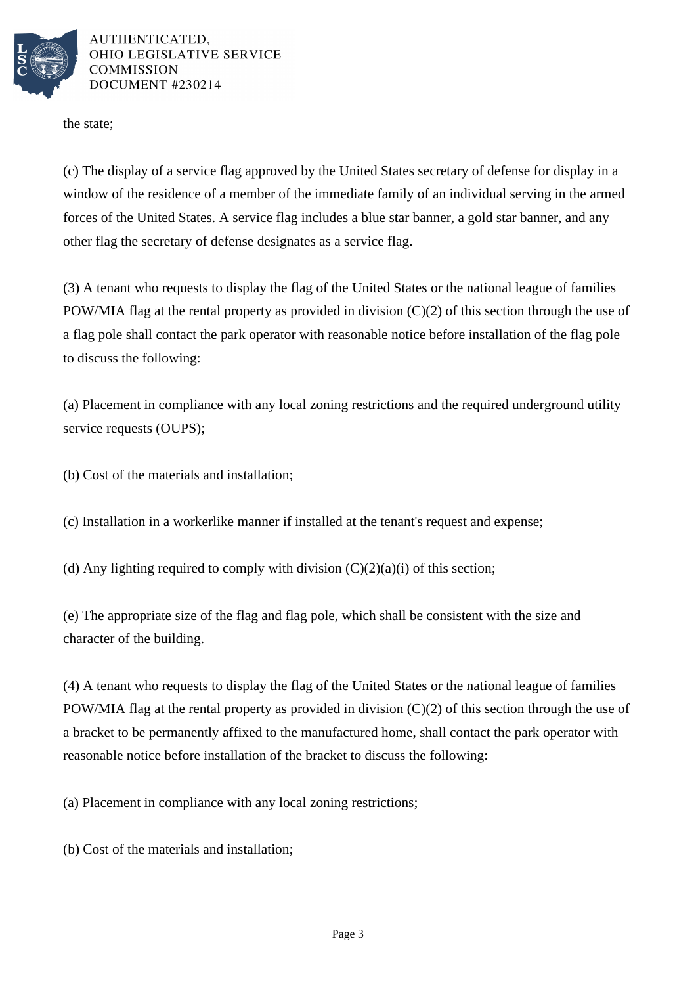

the state;

(c) The display of a service flag approved by the United States secretary of defense for display in a window of the residence of a member of the immediate family of an individual serving in the armed forces of the United States. A service flag includes a blue star banner, a gold star banner, and any other flag the secretary of defense designates as a service flag.

(3) A tenant who requests to display the flag of the United States or the national league of families POW/MIA flag at the rental property as provided in division  $(C)(2)$  of this section through the use of a flag pole shall contact the park operator with reasonable notice before installation of the flag pole to discuss the following:

(a) Placement in compliance with any local zoning restrictions and the required underground utility service requests (OUPS);

(b) Cost of the materials and installation;

(c) Installation in a workerlike manner if installed at the tenant's request and expense;

(d) Any lighting required to comply with division  $(C)(2)(a)(i)$  of this section;

(e) The appropriate size of the flag and flag pole, which shall be consistent with the size and character of the building.

(4) A tenant who requests to display the flag of the United States or the national league of families POW/MIA flag at the rental property as provided in division (C)(2) of this section through the use of a bracket to be permanently affixed to the manufactured home, shall contact the park operator with reasonable notice before installation of the bracket to discuss the following:

(a) Placement in compliance with any local zoning restrictions;

(b) Cost of the materials and installation;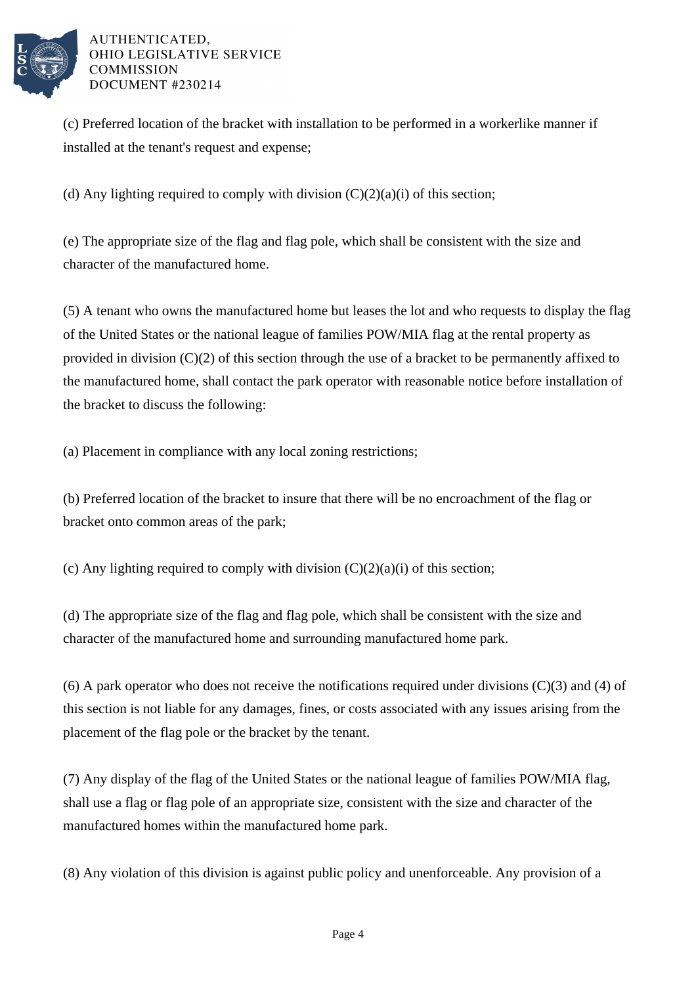

(c) Preferred location of the bracket with installation to be performed in a workerlike manner if installed at the tenant's request and expense;

(d) Any lighting required to comply with division  $(C)(2)(a)(i)$  of this section;

(e) The appropriate size of the flag and flag pole, which shall be consistent with the size and character of the manufactured home.

(5) A tenant who owns the manufactured home but leases the lot and who requests to display the flag of the United States or the national league of families POW/MIA flag at the rental property as provided in division (C)(2) of this section through the use of a bracket to be permanently affixed to the manufactured home, shall contact the park operator with reasonable notice before installation of the bracket to discuss the following:

(a) Placement in compliance with any local zoning restrictions;

(b) Preferred location of the bracket to insure that there will be no encroachment of the flag or bracket onto common areas of the park;

(c) Any lighting required to comply with division  $(C)(2)(a)(i)$  of this section;

(d) The appropriate size of the flag and flag pole, which shall be consistent with the size and character of the manufactured home and surrounding manufactured home park.

(6) A park operator who does not receive the notifications required under divisions (C)(3) and (4) of this section is not liable for any damages, fines, or costs associated with any issues arising from the placement of the flag pole or the bracket by the tenant.

(7) Any display of the flag of the United States or the national league of families POW/MIA flag, shall use a flag or flag pole of an appropriate size, consistent with the size and character of the manufactured homes within the manufactured home park.

(8) Any violation of this division is against public policy and unenforceable. Any provision of a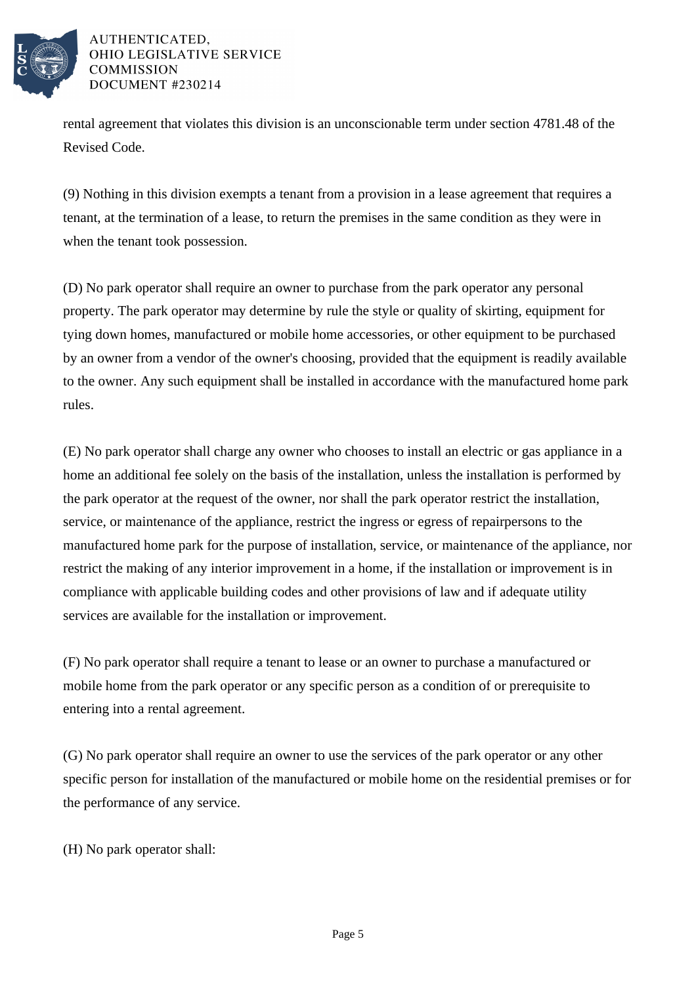

rental agreement that violates this division is an unconscionable term under section 4781.48 of the Revised Code.

(9) Nothing in this division exempts a tenant from a provision in a lease agreement that requires a tenant, at the termination of a lease, to return the premises in the same condition as they were in when the tenant took possession.

(D) No park operator shall require an owner to purchase from the park operator any personal property. The park operator may determine by rule the style or quality of skirting, equipment for tying down homes, manufactured or mobile home accessories, or other equipment to be purchased by an owner from a vendor of the owner's choosing, provided that the equipment is readily available to the owner. Any such equipment shall be installed in accordance with the manufactured home park rules.

(E) No park operator shall charge any owner who chooses to install an electric or gas appliance in a home an additional fee solely on the basis of the installation, unless the installation is performed by the park operator at the request of the owner, nor shall the park operator restrict the installation, service, or maintenance of the appliance, restrict the ingress or egress of repairpersons to the manufactured home park for the purpose of installation, service, or maintenance of the appliance, nor restrict the making of any interior improvement in a home, if the installation or improvement is in compliance with applicable building codes and other provisions of law and if adequate utility services are available for the installation or improvement.

(F) No park operator shall require a tenant to lease or an owner to purchase a manufactured or mobile home from the park operator or any specific person as a condition of or prerequisite to entering into a rental agreement.

(G) No park operator shall require an owner to use the services of the park operator or any other specific person for installation of the manufactured or mobile home on the residential premises or for the performance of any service.

(H) No park operator shall: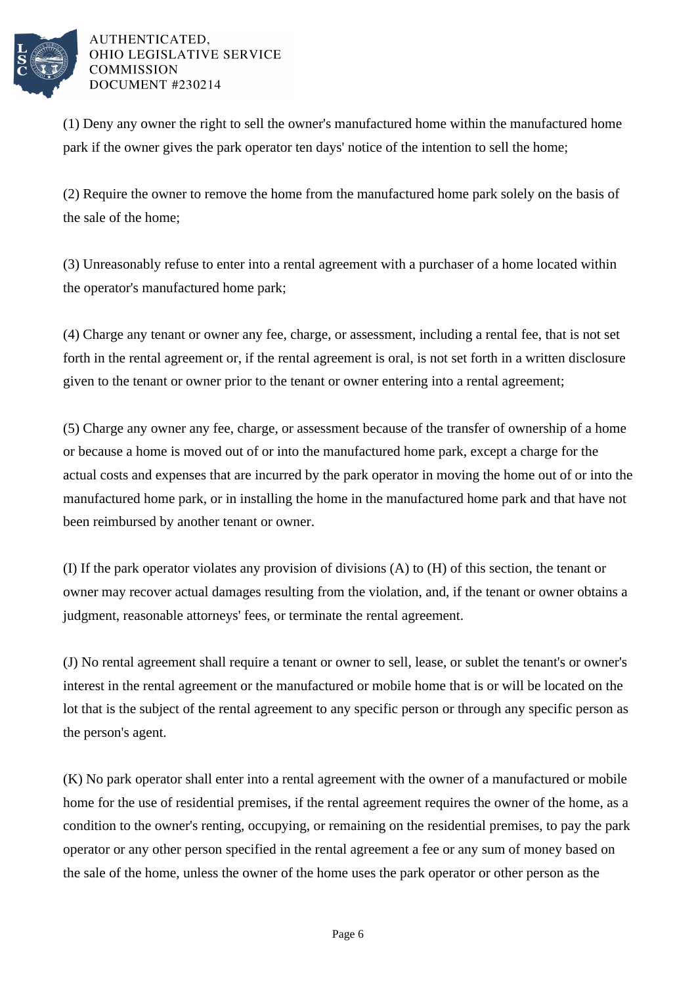

(1) Deny any owner the right to sell the owner's manufactured home within the manufactured home park if the owner gives the park operator ten days' notice of the intention to sell the home;

(2) Require the owner to remove the home from the manufactured home park solely on the basis of the sale of the home;

(3) Unreasonably refuse to enter into a rental agreement with a purchaser of a home located within the operator's manufactured home park;

(4) Charge any tenant or owner any fee, charge, or assessment, including a rental fee, that is not set forth in the rental agreement or, if the rental agreement is oral, is not set forth in a written disclosure given to the tenant or owner prior to the tenant or owner entering into a rental agreement;

(5) Charge any owner any fee, charge, or assessment because of the transfer of ownership of a home or because a home is moved out of or into the manufactured home park, except a charge for the actual costs and expenses that are incurred by the park operator in moving the home out of or into the manufactured home park, or in installing the home in the manufactured home park and that have not been reimbursed by another tenant or owner.

(I) If the park operator violates any provision of divisions (A) to (H) of this section, the tenant or owner may recover actual damages resulting from the violation, and, if the tenant or owner obtains a judgment, reasonable attorneys' fees, or terminate the rental agreement.

(J) No rental agreement shall require a tenant or owner to sell, lease, or sublet the tenant's or owner's interest in the rental agreement or the manufactured or mobile home that is or will be located on the lot that is the subject of the rental agreement to any specific person or through any specific person as the person's agent.

(K) No park operator shall enter into a rental agreement with the owner of a manufactured or mobile home for the use of residential premises, if the rental agreement requires the owner of the home, as a condition to the owner's renting, occupying, or remaining on the residential premises, to pay the park operator or any other person specified in the rental agreement a fee or any sum of money based on the sale of the home, unless the owner of the home uses the park operator or other person as the